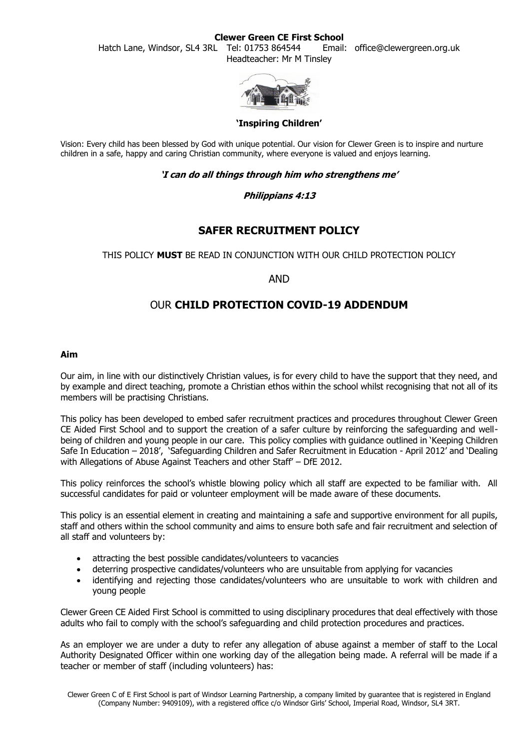#### **Clewer Green CE First School**

Hatch Lane, Windsor, SL4 3RL Tel: 01753 864544 Email: office@clewergreen.org.uk Headteacher: Mr M Tinsley



#### **'Inspiring Children'**

Vision: Every child has been blessed by God with unique potential. Our vision for Clewer Green is to inspire and nurture children in a safe, happy and caring Christian community, where everyone is valued and enjoys learning.

### **'I can do all things through him who strengthens me'**

# **Philippians 4:13**

# **SAFER RECRUITMENT POLICY**

# THIS POLICY **MUST** BE READ IN CONJUNCTION WITH OUR CHILD PROTECTION POLICY

# AND

# OUR **CHILD PROTECTION COVID-19 ADDENDUM**

#### **Aim**

Our aim, in line with our distinctively Christian values, is for every child to have the support that they need, and by example and direct teaching, promote a Christian ethos within the school whilst recognising that not all of its members will be practising Christians.

This policy has been developed to embed safer recruitment practices and procedures throughout Clewer Green CE Aided First School and to support the creation of a safer culture by reinforcing the safeguarding and wellbeing of children and young people in our care. This policy complies with guidance outlined in 'Keeping Children Safe In Education – 2018', 'Safeguarding Children and Safer Recruitment in Education - April 2012' and 'Dealing with Allegations of Abuse Against Teachers and other Staff' – DfE 2012.

This policy reinforces the school's whistle blowing policy which all staff are expected to be familiar with. All successful candidates for paid or volunteer employment will be made aware of these documents.

This policy is an essential element in creating and maintaining a safe and supportive environment for all pupils, staff and others within the school community and aims to ensure both safe and fair recruitment and selection of all staff and volunteers by:

- attracting the best possible candidates/volunteers to vacancies
- deterring prospective candidates/volunteers who are unsuitable from applying for vacancies
- identifying and rejecting those candidates/volunteers who are unsuitable to work with children and young people

Clewer Green CE Aided First School is committed to using disciplinary procedures that deal effectively with those adults who fail to comply with the school's safeguarding and child protection procedures and practices.

As an employer we are under a duty to refer any allegation of abuse against a member of staff to the Local Authority Designated Officer within one working day of the allegation being made. A referral will be made if a teacher or member of staff (including volunteers) has: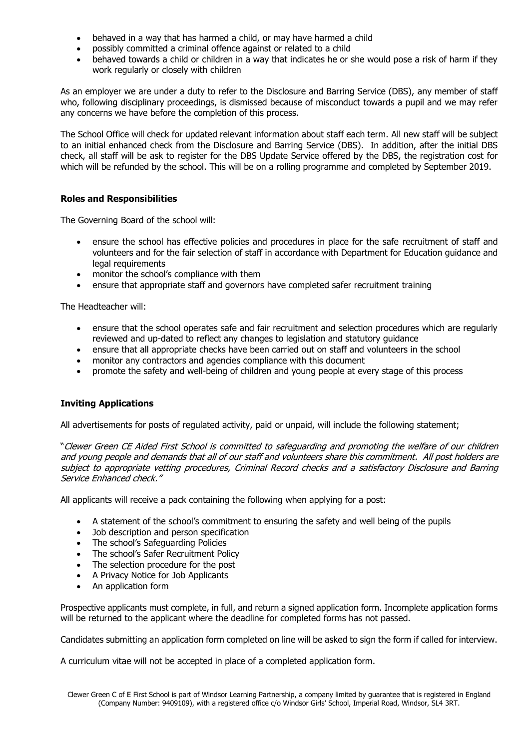- behaved in a way that has harmed a child, or may have harmed a child
- possibly committed a criminal offence against or related to a child
- behaved towards a child or children in a way that indicates he or she would pose a risk of harm if they work regularly or closely with children

As an employer we are under a duty to refer to the Disclosure and Barring Service (DBS), any member of staff who, following disciplinary proceedings, is dismissed because of misconduct towards a pupil and we may refer any concerns we have before the completion of this process.

The School Office will check for updated relevant information about staff each term. All new staff will be subject to an initial enhanced check from the Disclosure and Barring Service (DBS). In addition, after the initial DBS check, all staff will be ask to register for the DBS Update Service offered by the DBS, the registration cost for which will be refunded by the school. This will be on a rolling programme and completed by September 2019.

# **Roles and Responsibilities**

The Governing Board of the school will:

- ensure the school has effective policies and procedures in place for the safe recruitment of staff and volunteers and for the fair selection of staff in accordance with Department for Education guidance and legal requirements
- monitor the school's compliance with them
- ensure that appropriate staff and governors have completed safer recruitment training

The Headteacher will:

- ensure that the school operates safe and fair recruitment and selection procedures which are regularly reviewed and up-dated to reflect any changes to legislation and statutory guidance
- ensure that all appropriate checks have been carried out on staff and volunteers in the school
- monitor any contractors and agencies compliance with this document
- promote the safety and well-being of children and young people at every stage of this process

# **Inviting Applications**

All advertisements for posts of regulated activity, paid or unpaid, will include the following statement;

"Clewer Green CE Aided First School is committed to safeguarding and promoting the welfare of our children and young people and demands that all of our staff and volunteers share this commitment. All post holders are subject to appropriate vetting procedures, Criminal Record checks and a satisfactory Disclosure and Barring Service Enhanced check."

All applicants will receive a pack containing the following when applying for a post:

- A statement of the school's commitment to ensuring the safety and well being of the pupils
- Job description and person specification
- The school's Safeguarding Policies
- The school's Safer Recruitment Policy
- The selection procedure for the post
- A Privacy Notice for Job Applicants
- An application form

Prospective applicants must complete, in full, and return a signed application form. Incomplete application forms will be returned to the applicant where the deadline for completed forms has not passed.

Candidates submitting an application form completed on line will be asked to sign the form if called for interview.

A curriculum vitae will not be accepted in place of a completed application form.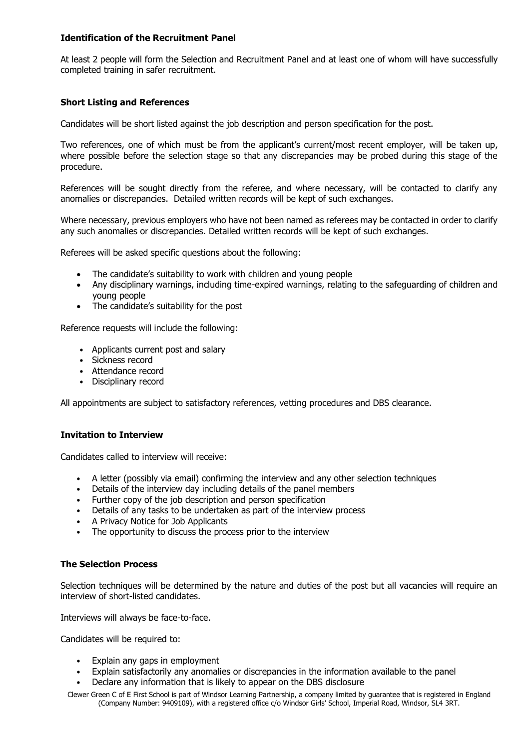### **Identification of the Recruitment Panel**

At least 2 people will form the Selection and Recruitment Panel and at least one of whom will have successfully completed training in safer recruitment.

# **Short Listing and References**

Candidates will be short listed against the job description and person specification for the post.

Two references, one of which must be from the applicant's current/most recent employer, will be taken up, where possible before the selection stage so that any discrepancies may be probed during this stage of the procedure.

References will be sought directly from the referee, and where necessary, will be contacted to clarify any anomalies or discrepancies. Detailed written records will be kept of such exchanges.

Where necessary, previous employers who have not been named as referees may be contacted in order to clarify any such anomalies or discrepancies. Detailed written records will be kept of such exchanges.

Referees will be asked specific questions about the following:

- The candidate's suitability to work with children and young people
- Any disciplinary warnings, including time-expired warnings, relating to the safeguarding of children and young people
- The candidate's suitability for the post

Reference requests will include the following:

- Applicants current post and salary
- Sickness record
- Attendance record
- Disciplinary record

All appointments are subject to satisfactory references, vetting procedures and DBS clearance.

### **Invitation to Interview**

Candidates called to interview will receive:

- A letter (possibly via email) confirming the interview and any other selection techniques
- Details of the interview day including details of the panel members
- Further copy of the job description and person specification
- Details of any tasks to be undertaken as part of the interview process
- A Privacy Notice for Job Applicants
- The opportunity to discuss the process prior to the interview

### **The Selection Process**

Selection techniques will be determined by the nature and duties of the post but all vacancies will require an interview of short-listed candidates.

Interviews will always be face-to-face.

Candidates will be required to:

- Explain any gaps in employment
- Explain satisfactorily any anomalies or discrepancies in the information available to the panel
- Declare any information that is likely to appear on the DBS disclosure
- Clewer Green C of E First School is part of Windsor Learning Partnership, a company limited by guarantee that is registered in England (Company Number: 9409109), with a registered office c/o Windsor Girls' School, Imperial Road, Windsor, SL4 3RT.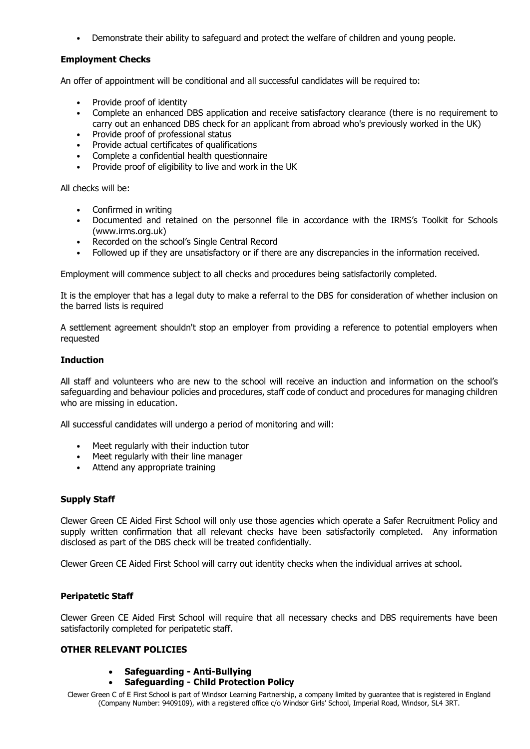• Demonstrate their ability to safeguard and protect the welfare of children and young people.

### **Employment Checks**

An offer of appointment will be conditional and all successful candidates will be required to:

- Provide proof of identity
- Complete an enhanced DBS application and receive satisfactory clearance (there is no requirement to carry out an enhanced DBS check for an applicant from abroad who's previously worked in the UK)
- Provide proof of professional status
- Provide actual certificates of qualifications
- Complete a confidential health questionnaire
- Provide proof of eligibility to live and work in the UK

All checks will be:

- Confirmed in writing
- Documented and retained on the personnel file in accordance with the IRMS's Toolkit for Schools (www.irms.org.uk)
- Recorded on the school's Single Central Record
- Followed up if they are unsatisfactory or if there are any discrepancies in the information received.

Employment will commence subject to all checks and procedures being satisfactorily completed.

It is the employer that has a legal duty to make a referral to the DBS for consideration of whether inclusion on the barred lists is required

A settlement agreement shouldn't stop an employer from providing a reference to potential employers when requested

#### **Induction**

All staff and volunteers who are new to the school will receive an induction and information on the school's safeguarding and behaviour policies and procedures, staff code of conduct and procedures for managing children who are missing in education.

All successful candidates will undergo a period of monitoring and will:

- Meet regularly with their induction tutor
- Meet regularly with their line manager
- Attend any appropriate training

### **Supply Staff**

Clewer Green CE Aided First School will only use those agencies which operate a Safer Recruitment Policy and supply written confirmation that all relevant checks have been satisfactorily completed. Any information disclosed as part of the DBS check will be treated confidentially.

Clewer Green CE Aided First School will carry out identity checks when the individual arrives at school.

### **Peripatetic Staff**

Clewer Green CE Aided First School will require that all necessary checks and DBS requirements have been satisfactorily completed for peripatetic staff.

### **OTHER RELEVANT POLICIES**

- **Safeguarding - Anti-Bullying**
- **Safeguarding - Child Protection Policy**

Clewer Green C of E First School is part of Windsor Learning Partnership, a company limited by guarantee that is registered in England (Company Number: 9409109), with a registered office c/o Windsor Girls' School, Imperial Road, Windsor, SL4 3RT.